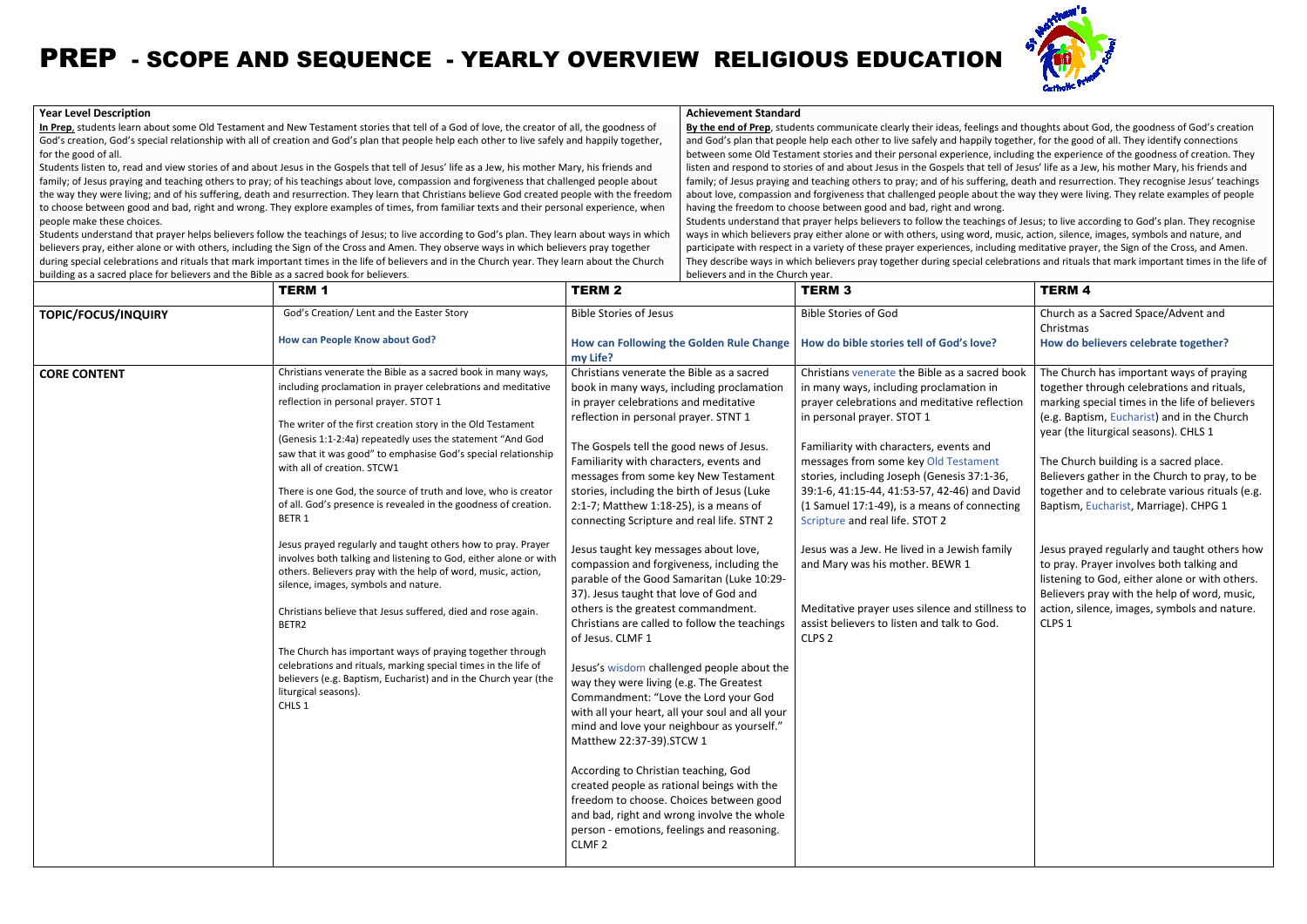### **Year Level Description**

In Prep, students learn about some Old Testament and New Testament stories that tell of a God of love, the creator of all, the goodness of God's creation, God's special relationship with all of creation and God's plan that people help each other to live safely and happily together, for the good of all.

Students understand that prayer helps believers follow the teachings of Jesus; to live according to God's plan. They learn about ways in w<br>believers pray, either alone or with others, including the Sign of the Cross and Am during special celebrations and rituals that mark important times in the life of believers and in the Church year. They learn about the Church<br>building as a sacred place for believers and the Bible as a sacred book for bel building as a sacred place for believers and the Bible as a sacred book for believers

# PREP - SCOPE AND SEQUENCE - YEARLY OVERVIEW RELIGIOUS EDUCATION

 Students listen to, read and view stories of and about Jesus in the Gospels that tell of Jesus' life as a Jew, his mother Mafamily; of Jesus praying and teaching others to pray; of his teachings about love, compassion and forgiveness that challenged people about the way they were living; and of his suffering, death and resurrection. They learn that Christians believe God created people to choose between good and bad, right and wrong. They explore examples of times, from familiar texts and their personal experience, when people make these choices. students understand that prayer helps believers follow the teachings of Jesus; to live according to God's plan. They learn about ways in which Students understand that prayer helps believers follow the teachings of Jesus; ation, God's special relationship with all of creation and God's plan that people help each other to live safely and happily together,<br>ood of all.<br>listen to, read and view stories of and about Jesus in the Gospels that tel Mary, his friends and

 **By the end of Prep**, students communicate clearly their ideas, feelings and thoughts about God, the goodness of God's creation and God's plan that people help each other to live safely and happily together, for the good of all. They identify connections between some Old Testament stories and their personal experience, including the experience of the goodness of creation. They listen and respond to stories of and about Jesus in the Gospels that tell of Jesus' life as a Jew, his mother Mary, his friends and family; of Jesus praying and teaching others to pray; and of his suffering, death and resurrection. They recognise Jesus' about love, compassion and forgiveness that challenged people about the way they were living. They relate examples of people having the freedom to choose between good and bad, right and wrong.Students understand that prayer helps believers to follow the teachings of Jesus; to live according to God's plan. They recognise ways in which believers pray either alone or with others, using word, music, action, silence, images, symbols and nature, participate with respect in a variety of these prayer experiences, including meditative prayer, the Sign of the Cross, and Amen. They describe ways in which believers pray together during special celebrations and rituals that mark important times in the life of believers and in the Church year.h other to live safely and happily together, for the good of all. They identify connections<br>is and their personal experience, including the experience of the goodness of creation. They<br>about Jesus in the Gospels that tell icate clearly their ideas, feelings and thoughts about God, the goodness of God's creation<br>other to live safely and happily together, for the good of all. They identify connections<br>and their personal experience, including ble about the way they were living. They relate examples of peop<br>nd wrong.<br>teachings of Jesus; to live according to God's plan. They recogni<br>g word, music, action, silence, images, symbols and nature, and

#### **Achievement Standard**

| <u>building as a sacred place for believers and the bible as a sacred book for believers.</u> | <b>TERM 1</b>                                                                                                                                                                                                                                                                                                                                                                                                                                                                                                                                                                                                                                                                                                                                                                                                                                                                                                                                                                                                                                                                                                        | DELIEVELS ATIU III LITE CHUI CH YEAH<br><b>TERM 2</b>                                                                                                                                                                                                                                                                                                                                                                                                                                                                                                                                                                                                                                                                                                                                                                                                                                                                                                                                                                                                                                                                                                                                                                                                    | <b>TERM 3</b>                                                                                                                                                                                                                                                                                                                                                                                                                                                                                                                                                                                                                                           | <b>TERM 4</b>                                                                                                                                                                                                                                                                                                                                                                                                                                                                                                                                                                                                                                                                               |
|-----------------------------------------------------------------------------------------------|----------------------------------------------------------------------------------------------------------------------------------------------------------------------------------------------------------------------------------------------------------------------------------------------------------------------------------------------------------------------------------------------------------------------------------------------------------------------------------------------------------------------------------------------------------------------------------------------------------------------------------------------------------------------------------------------------------------------------------------------------------------------------------------------------------------------------------------------------------------------------------------------------------------------------------------------------------------------------------------------------------------------------------------------------------------------------------------------------------------------|----------------------------------------------------------------------------------------------------------------------------------------------------------------------------------------------------------------------------------------------------------------------------------------------------------------------------------------------------------------------------------------------------------------------------------------------------------------------------------------------------------------------------------------------------------------------------------------------------------------------------------------------------------------------------------------------------------------------------------------------------------------------------------------------------------------------------------------------------------------------------------------------------------------------------------------------------------------------------------------------------------------------------------------------------------------------------------------------------------------------------------------------------------------------------------------------------------------------------------------------------------|---------------------------------------------------------------------------------------------------------------------------------------------------------------------------------------------------------------------------------------------------------------------------------------------------------------------------------------------------------------------------------------------------------------------------------------------------------------------------------------------------------------------------------------------------------------------------------------------------------------------------------------------------------|---------------------------------------------------------------------------------------------------------------------------------------------------------------------------------------------------------------------------------------------------------------------------------------------------------------------------------------------------------------------------------------------------------------------------------------------------------------------------------------------------------------------------------------------------------------------------------------------------------------------------------------------------------------------------------------------|
| TOPIC/FOCUS/INQUIRY                                                                           | God's Creation/ Lent and the Easter Story<br><b>How can People Know about God?</b>                                                                                                                                                                                                                                                                                                                                                                                                                                                                                                                                                                                                                                                                                                                                                                                                                                                                                                                                                                                                                                   | <b>Bible Stories of Jesus</b><br>How can Following the Golden Rule Change<br>my Life?                                                                                                                                                                                                                                                                                                                                                                                                                                                                                                                                                                                                                                                                                                                                                                                                                                                                                                                                                                                                                                                                                                                                                                    | <b>Bible Stories of God</b><br>How do bible stories tell of God's love?                                                                                                                                                                                                                                                                                                                                                                                                                                                                                                                                                                                 | Church as a Sacred Space/Advent and<br>Christmas<br>How do believers celebrate together?                                                                                                                                                                                                                                                                                                                                                                                                                                                                                                                                                                                                    |
| <b>CORE CONTENT</b>                                                                           | Christians venerate the Bible as a sacred book in many ways,<br>including proclamation in prayer celebrations and meditative<br>reflection in personal prayer. STOT 1<br>The writer of the first creation story in the Old Testament<br>(Genesis 1:1-2:4a) repeatedly uses the statement "And God<br>saw that it was good" to emphasise God's special relationship<br>with all of creation. STCW1<br>There is one God, the source of truth and love, who is creator<br>of all. God's presence is revealed in the goodness of creation.<br>BETR <sub>1</sub><br>Jesus prayed regularly and taught others how to pray. Prayer<br>involves both talking and listening to God, either alone or with<br>others. Believers pray with the help of word, music, action,<br>silence, images, symbols and nature.<br>Christians believe that Jesus suffered, died and rose again.<br>BETR2<br>The Church has important ways of praying together through<br>celebrations and rituals, marking special times in the life of<br>believers (e.g. Baptism, Eucharist) and in the Church year (the<br>liturgical seasons).<br>CHLS 1 | Christians venerate the Bible as a sacred<br>book in many ways, including proclamation<br>in prayer celebrations and meditative<br>reflection in personal prayer. STNT 1<br>The Gospels tell the good news of Jesus.<br>Familiarity with characters, events and<br>messages from some key New Testament<br>stories, including the birth of Jesus (Luke<br>2:1-7; Matthew 1:18-25), is a means of<br>connecting Scripture and real life. STNT 2<br>Jesus taught key messages about love,<br>compassion and forgiveness, including the<br>parable of the Good Samaritan (Luke 10:29-<br>37). Jesus taught that love of God and<br>others is the greatest commandment.<br>Christians are called to follow the teachings<br>of Jesus. CLMF 1<br>Jesus's wisdom challenged people about the<br>way they were living (e.g. The Greatest<br>Commandment: "Love the Lord your God<br>with all your heart, all your soul and all your<br>mind and love your neighbour as yourself."<br>Matthew 22:37-39).STCW 1<br>According to Christian teaching, God<br>created people as rational beings with the<br>freedom to choose. Choices between good<br>and bad, right and wrong involve the whole<br>person - emotions, feelings and reasoning.<br>CLMF <sub>2</sub> | Christians venerate the Bible as a sacred book<br>in many ways, including proclamation in<br>prayer celebrations and meditative reflection<br>in personal prayer. STOT 1<br>Familiarity with characters, events and<br>messages from some key Old Testament<br>stories, including Joseph (Genesis 37:1-36,<br>39:1-6, 41:15-44, 41:53-57, 42-46) and David<br>(1 Samuel 17:1-49), is a means of connecting<br>Scripture and real life. STOT 2<br>Jesus was a Jew. He lived in a Jewish family<br>and Mary was his mother. BEWR 1<br>Meditative prayer uses silence and stillness to<br>assist believers to listen and talk to God.<br>CLPS <sub>2</sub> | The Church has important ways of praying<br>together through celebrations and rituals,<br>marking special times in the life of believers<br>(e.g. Baptism, Eucharist) and in the Church<br>year (the liturgical seasons). CHLS 1<br>The Church building is a sacred place.<br>Believers gather in the Church to pray, to be<br>together and to celebrate various rituals (e.g.<br>Baptism, Eucharist, Marriage). CHPG 1<br>Jesus prayed regularly and taught others how<br>to pray. Prayer involves both talking and<br>listening to God, either alone or with others.<br>Believers pray with the help of word, music,<br>action, silence, images, symbols and nature.<br>CLPS <sub>1</sub> |

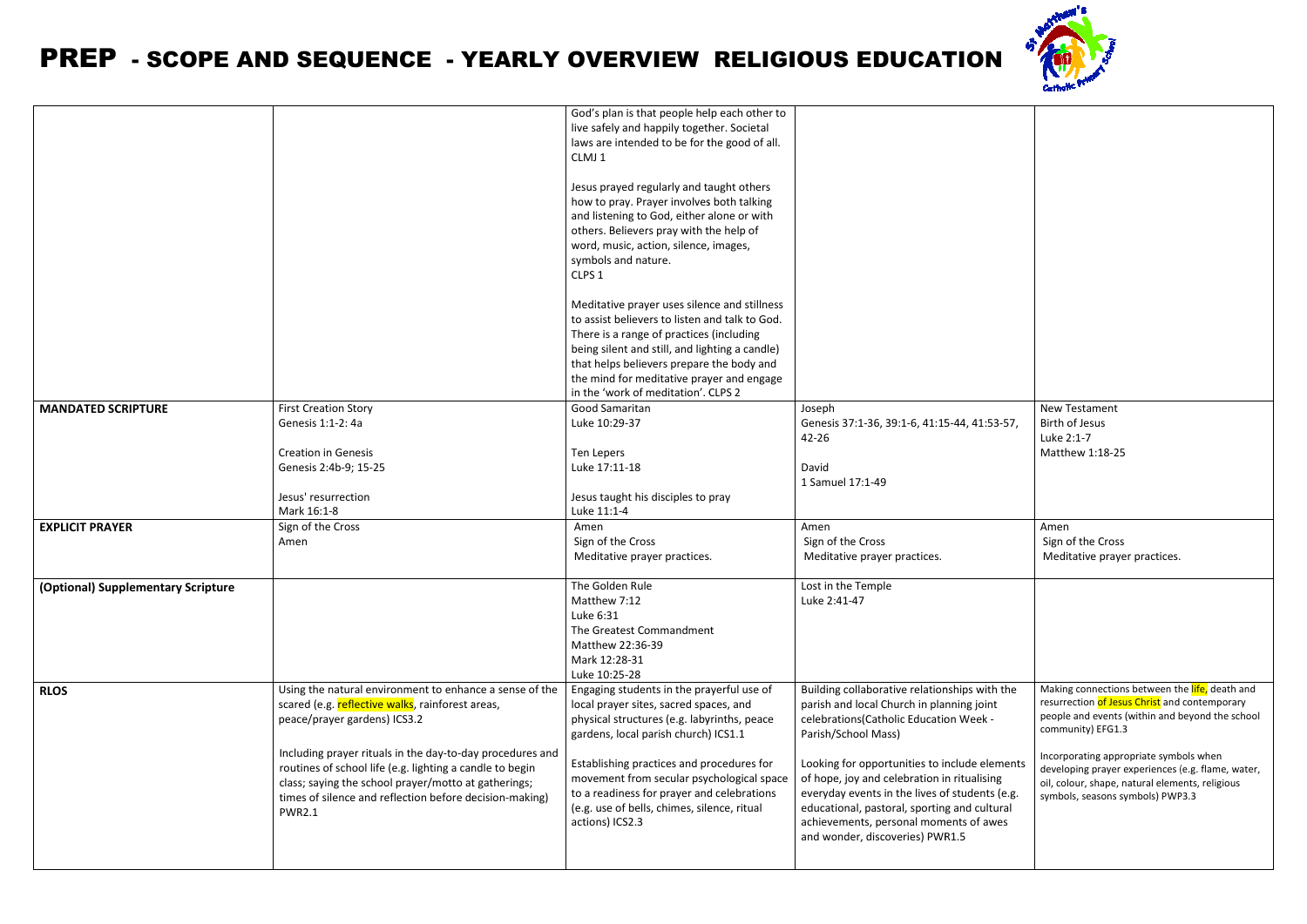## PREP - SCOPE AND SEQUENCE - YEARLY OVERVIEW RELIGIOUS EDUCATION

|                                    | Including prayer rituals in the day-to-day procedures and<br>routines of school life (e.g. lighting a candle to begin<br>class; saying the school prayer/motto at gatherings;<br>times of silence and reflection before decision-making)<br><b>PWR2.1</b> | Establishing practices and procedures for<br>movement from secular psychological space<br>to a readiness for prayer and celebrations<br>(e.g. use of bells, chimes, silence, ritual<br>actions) ICS2.3                                                                                                                                                                                                                                                                                                                                                                                                                                                                                                                                                                        | Looking for opportunities to include elements<br>of hope, joy and celebration in ritualising<br>everyday events in the lives of students (e.g.<br>educational, pastoral, sporting and cultural<br>achievements, personal moments of awes<br>and wonder, discoveries) PWR1.5 | Incorporating appropriate symbols when<br>developing prayer experiences (e.g. flame, water,<br>oil, colour, shape, natural elements, religious<br>symbols, seasons symbols) PWP3.3 |
|------------------------------------|-----------------------------------------------------------------------------------------------------------------------------------------------------------------------------------------------------------------------------------------------------------|-------------------------------------------------------------------------------------------------------------------------------------------------------------------------------------------------------------------------------------------------------------------------------------------------------------------------------------------------------------------------------------------------------------------------------------------------------------------------------------------------------------------------------------------------------------------------------------------------------------------------------------------------------------------------------------------------------------------------------------------------------------------------------|-----------------------------------------------------------------------------------------------------------------------------------------------------------------------------------------------------------------------------------------------------------------------------|------------------------------------------------------------------------------------------------------------------------------------------------------------------------------------|
| <b>RLOS</b>                        | Using the natural environment to enhance a sense of the<br>scared (e.g. reflective walks, rainforest areas,<br>peace/prayer gardens) ICS3.2                                                                                                               | Engaging students in the prayerful use of<br>local prayer sites, sacred spaces, and<br>physical structures (e.g. labyrinths, peace<br>gardens, local parish church) ICS1.1                                                                                                                                                                                                                                                                                                                                                                                                                                                                                                                                                                                                    | Building collaborative relationships with the<br>parish and local Church in planning joint<br>celebrations(Catholic Education Week -<br>Parish/School Mass)                                                                                                                 | Making connections between the life, death and<br>resurrection of Jesus Christ and contemporary<br>people and events (within and beyond the school<br>community) EFG1.3            |
| (Optional) Supplementary Scripture |                                                                                                                                                                                                                                                           | The Golden Rule<br>Matthew 7:12<br>Luke 6:31<br>The Greatest Commandment<br>Matthew 22:36-39<br>Mark 12:28-31<br>Luke 10:25-28                                                                                                                                                                                                                                                                                                                                                                                                                                                                                                                                                                                                                                                | Lost in the Temple<br>Luke 2:41-47                                                                                                                                                                                                                                          |                                                                                                                                                                                    |
| <b>EXPLICIT PRAYER</b>             | Sign of the Cross<br>Amen                                                                                                                                                                                                                                 | Amen<br>Sign of the Cross<br>Meditative prayer practices.                                                                                                                                                                                                                                                                                                                                                                                                                                                                                                                                                                                                                                                                                                                     | Amen<br>Sign of the Cross<br>Meditative prayer practices.                                                                                                                                                                                                                   | Amen<br>Sign of the Cross<br>Meditative prayer practices.                                                                                                                          |
|                                    | Genesis 1:1-2: 4a<br><b>Creation in Genesis</b><br>Genesis 2:4b-9; 15-25<br>Jesus' resurrection<br>Mark 16:1-8                                                                                                                                            | Luke 10:29-37<br>Ten Lepers<br>Luke 17:11-18<br>Jesus taught his disciples to pray<br>Luke 11:1-4                                                                                                                                                                                                                                                                                                                                                                                                                                                                                                                                                                                                                                                                             | Genesis 37:1-36, 39:1-6, 41:15-44, 41:53-57,<br>42-26<br>David<br>1 Samuel 17:1-49                                                                                                                                                                                          | Birth of Jesus<br>Luke 2:1-7<br>Matthew 1:18-25                                                                                                                                    |
| <b>MANDATED SCRIPTURE</b>          | <b>First Creation Story</b>                                                                                                                                                                                                                               | God's plan is that people help each other to<br>live safely and happily together. Societal<br>laws are intended to be for the good of all.<br>CLMJ1<br>Jesus prayed regularly and taught others<br>how to pray. Prayer involves both talking<br>and listening to God, either alone or with<br>others. Believers pray with the help of<br>word, music, action, silence, images,<br>symbols and nature.<br>CLPS <sub>1</sub><br>Meditative prayer uses silence and stillness<br>to assist believers to listen and talk to God.<br>There is a range of practices (including<br>being silent and still, and lighting a candle)<br>that helps believers prepare the body and<br>the mind for meditative prayer and engage<br>in the 'work of meditation'. CLPS 2<br>Good Samaritan | Joseph                                                                                                                                                                                                                                                                      | New Testament                                                                                                                                                                      |